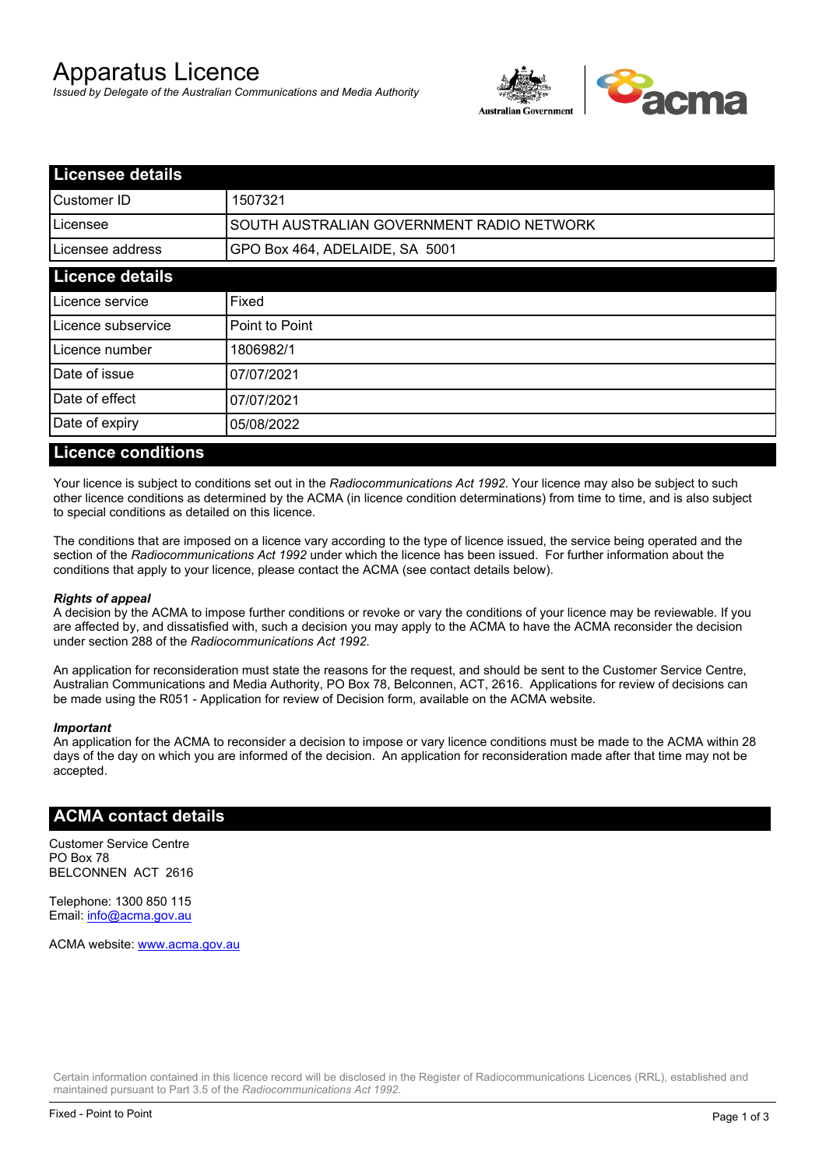# Apparatus Licence

*Issued by Delegate of the Australian Communications and Media Authority*



| <b>Licensee details</b> |                                           |  |
|-------------------------|-------------------------------------------|--|
| lCustomer ID            | 1507321                                   |  |
| ILicensee               | SOUTH AUSTRALIAN GOVERNMENT RADIO NETWORK |  |
| Licensee address        | GPO Box 464, ADELAIDE, SA 5001            |  |
| <b>Licence details</b>  |                                           |  |
| Licence service         | Fixed                                     |  |
| Licence subservice      | Point to Point                            |  |
| Licence number          | 1806982/1                                 |  |
| Date of issue           | 07/07/2021                                |  |
| Date of effect          | 07/07/2021                                |  |
| Date of expiry          | 05/08/2022                                |  |
|                         |                                           |  |

#### **Licence conditions**

Your licence is subject to conditions set out in the *Radiocommunications Act 1992*. Your licence may also be subject to such other licence conditions as determined by the ACMA (in licence condition determinations) from time to time, and is also subject to special conditions as detailed on this licence.

The conditions that are imposed on a licence vary according to the type of licence issued, the service being operated and the section of the *Radiocommunications Act 1992* under which the licence has been issued. For further information about the conditions that apply to your licence, please contact the ACMA (see contact details below).

#### *Rights of appeal*

A decision by the ACMA to impose further conditions or revoke or vary the conditions of your licence may be reviewable. If you are affected by, and dissatisfied with, such a decision you may apply to the ACMA to have the ACMA reconsider the decision under section 288 of the *Radiocommunications Act 1992*.

An application for reconsideration must state the reasons for the request, and should be sent to the Customer Service Centre, Australian Communications and Media Authority, PO Box 78, Belconnen, ACT, 2616. Applications for review of decisions can be made using the R051 - Application for review of Decision form, available on the ACMA website.

#### *Important*

An application for the ACMA to reconsider a decision to impose or vary licence conditions must be made to the ACMA within 28 days of the day on which you are informed of the decision. An application for reconsideration made after that time may not be accepted.

#### **ACMA contact details**

Customer Service Centre PO Box 78 BELCONNEN ACT 2616

Telephone: 1300 850 115 Email: info@acma.gov.au

ACMA website: www.acma.gov.au

Certain information contained in this licence record will be disclosed in the Register of Radiocommunications Licences (RRL), established and maintained pursuant to Part 3.5 of the *Radiocommunications Act 1992.*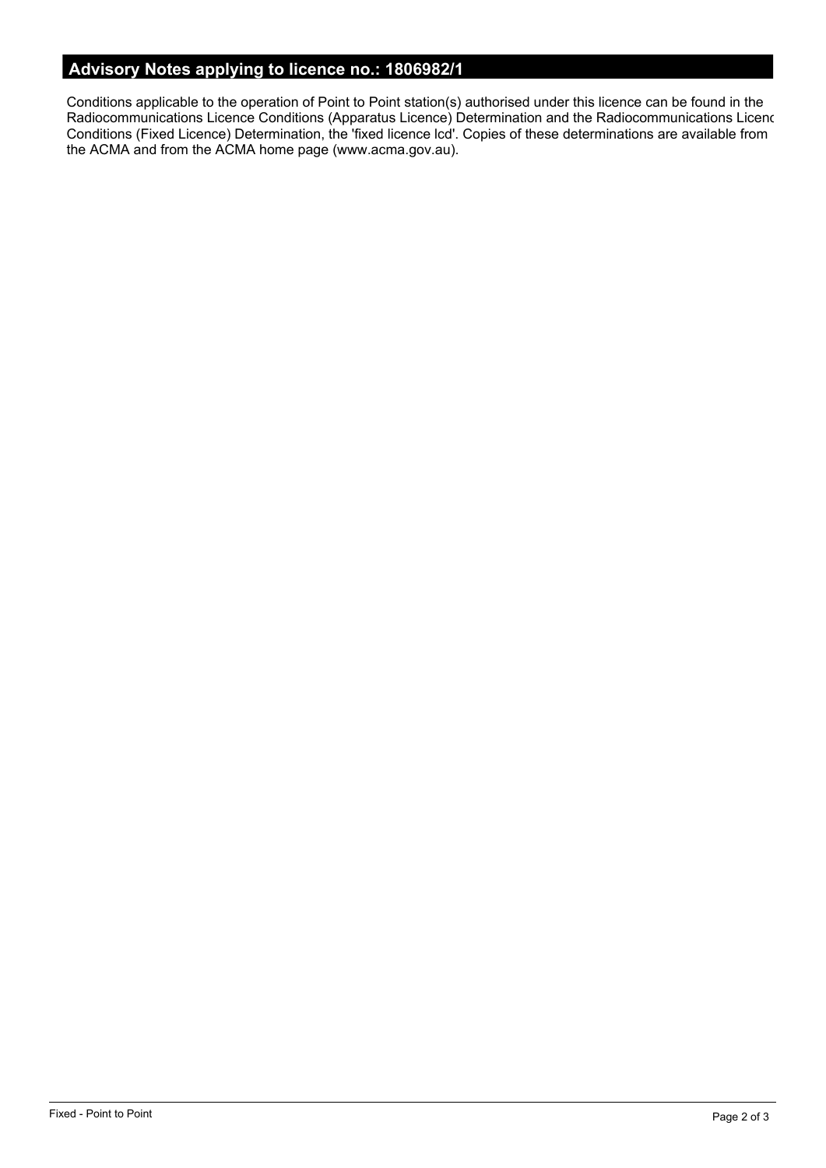# **Advisory Notes applying to licence no.: 1806982/1**

Conditions applicable to the operation of Point to Point station(s) authorised under this licence can be found in the Radiocommunications Licence Conditions (Apparatus Licence) Determination and the Radiocommunications Licence Conditions (Fixed Licence) Determination, the 'fixed licence lcd'. Copies of these determinations are available from the ACMA and from the ACMA home page (www.acma.gov.au).